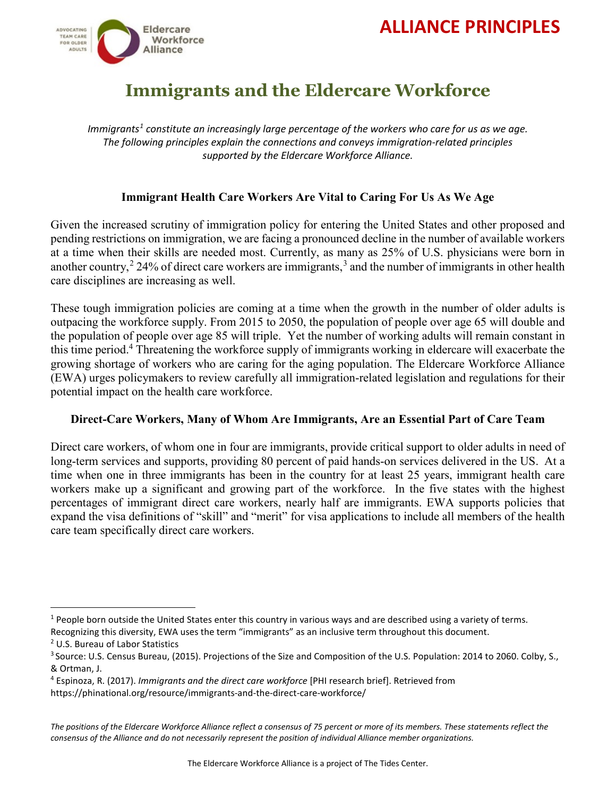# **ALLIANCE PRINCIPLES**



## **Immigrants and the Eldercare Workforce**

*Immigrants[1](#page-0-0) constitute an increasingly large percentage of the workers who care for us as we age. The following principles explain the connections and conveys immigration-related principles supported by the Eldercare Workforce Alliance.*

### **Immigrant Health Care Workers Are Vital to Caring For Us As We Age**

Given the increased scrutiny of immigration policy for entering the United States and other proposed and pending restrictions on immigration, we are facing a pronounced decline in the number of available workers at a time when their skills are needed most. Currently, as many as 25% of U.S. physicians were born in another country,<sup>[2](#page-0-1)</sup> 24% of direct care workers are immigrants,<sup>[3](#page-0-2)</sup> and the number of immigrants in other health care disciplines are increasing as well.

These tough immigration policies are coming at a time when the growth in the number of older adults is outpacing the workforce supply. From 2015 to 2050, the population of people over age 65 will double and the population of people over age 85 will triple. Yet the number of working adults will remain constant in this time period.<sup>4</sup> Threatening the workforce supply of immigrants working in eldercare will exacerbate the growing shortage of workers who are caring for the aging population. The Eldercare Workforce Alliance (EWA) urges policymakers to review carefully all immigration-related legislation and regulations for their potential impact on the health care workforce.

#### **Direct-Care Workers, Many of Whom Are Immigrants, Are an Essential Part of Care Team**

Direct care workers, of whom one in four are immigrants, provide critical support to older adults in need of long-term services and supports, providing 80 percent of paid hands-on services delivered in the US. At a time when one in three immigrants has been in the country for at least 25 years, immigrant health care workers make up a significant and growing part of the workforce. In the five states with the highest percentages of immigrant direct care workers, nearly half are immigrants. EWA supports policies that expand the visa definitions of "skill" and "merit" for visa applications to include all members of the health care team specifically direct care workers.

<span id="page-0-0"></span> $1$  People born outside the United States enter this country in various ways and are described using a variety of terms. Recognizing this diversity, EWA uses the term "immigrants" as an inclusive term throughout this document.

<span id="page-0-1"></span><sup>&</sup>lt;sup>2</sup> U.S. Bureau of Labor Statistics<br><sup>3</sup> Source: U.S. Census Bureau, (2015). Projections of the Size and Composition of the U.S. Population: 2014 to 2060. Colby, S., & Ortman, J.

<span id="page-0-2"></span><sup>4</sup> Espinoza, R. (2017). *Immigrants and the direct care workforce* [PHI research brief]. Retrieved from

https://phinational.org/resource/immigrants-and-the-direct-care-workforce/

*The positions of the Eldercare Workforce Alliance reflect a consensus of 75 percent or more of its members. These statements reflect the consensus of the Alliance and do not necessarily represent the position of individual Alliance member organizations.*